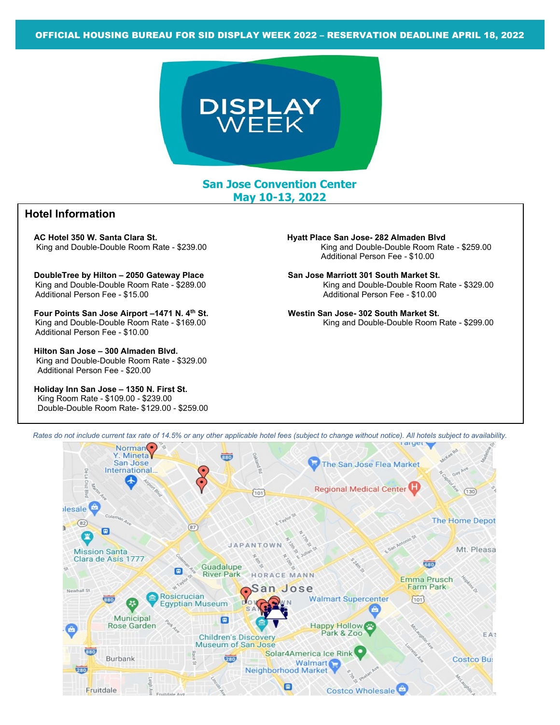

San Jose Convention Center May 10-13, 2022

## Hotel Information

AC Hotel 350 W. Santa Clara St.<br>King and Double-Double Room Rate - \$239.00 King and Double-Double Room Rate - \$259.00 King and Double-Double Room Rate - \$239.00

DoubleTree by Hilton – 2050 Gateway Place San Jose Marriott 301 South Market St. Additional Person Fee - \$15.00 Additional Person Fee - \$10.00

Four Points San Jose Airport –1471 N. 4<sup>th</sup> St. Westin San Jose- 302 South Market St. Additional Person Fee - \$10.00

 Hilton San Jose – 300 Almaden Blvd. King and Double-Double Room Rate - \$329.00 Additional Person Fee - \$20.00

 Holiday Inn San Jose – 1350 N. First St. King Room Rate - \$109.00 - \$239.00 Double-Double Room Rate- \$129.00 - \$259.00

Additional Person Fee - \$10.00

King and Double-Double Room Rate - \$289.00 King and Double-Double Room Rate - \$329.00

King and Double-Double Room Rate - \$169.00 King and Double-Double Room Rate - \$299.00



Rates do not include current tax rate of 14.5% or any other applicable hotel fees (subject to change without notice). All hotels subject to availability.